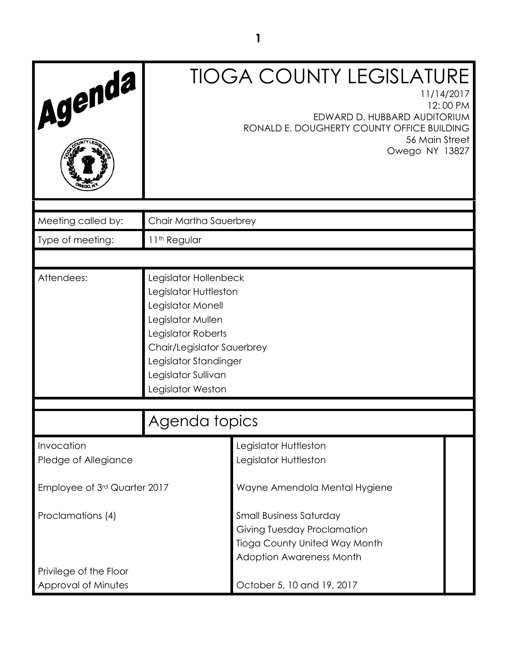| Agenda                                        |                                                                                                                                                                                                                   | <b>TIOGA COUNTY LEGISLATURE</b><br>11/14/2017<br>12:00 PM<br>EDWARD D. HUBBARD AUDITORIUM<br>RONALD E. DOUGHERTY COUNTY OFFICE BUILDING<br>56 Main Street<br>Owego NY 13827 |  |
|-----------------------------------------------|-------------------------------------------------------------------------------------------------------------------------------------------------------------------------------------------------------------------|-----------------------------------------------------------------------------------------------------------------------------------------------------------------------------|--|
| Meeting called by:                            | Chair Martha Sauerbrey                                                                                                                                                                                            |                                                                                                                                                                             |  |
| Type of meeting:                              | 11 <sup>th</sup> Regular                                                                                                                                                                                          |                                                                                                                                                                             |  |
|                                               |                                                                                                                                                                                                                   |                                                                                                                                                                             |  |
| Attendees:                                    | Legislator Hollenbeck<br>Legislator Huttleston<br>Legislator Monell<br>Legislator Mullen<br>Legislator Roberts<br>Chair/Legislator Sauerbrey<br>Legislator Standinger<br>Legislator Sullivan<br>Legislator Weston |                                                                                                                                                                             |  |
|                                               | Agenda topics                                                                                                                                                                                                     |                                                                                                                                                                             |  |
| Invocation<br>Pledge of Allegiance            |                                                                                                                                                                                                                   | Legislator Huttleston<br>Legislator Huttleston                                                                                                                              |  |
| Employee of 3rd Quarter 2017                  |                                                                                                                                                                                                                   | Wayne Amendola Mental Hygiene                                                                                                                                               |  |
| Proclamations (4)                             |                                                                                                                                                                                                                   | <b>Small Business Saturday</b><br>Giving Tuesday Proclamation<br><b>Tioga County United Way Month</b><br><b>Adoption Awareness Month</b>                                    |  |
| Privilege of the Floor<br>Approval of Minutes | October 5, 10 and 19, 2017                                                                                                                                                                                        |                                                                                                                                                                             |  |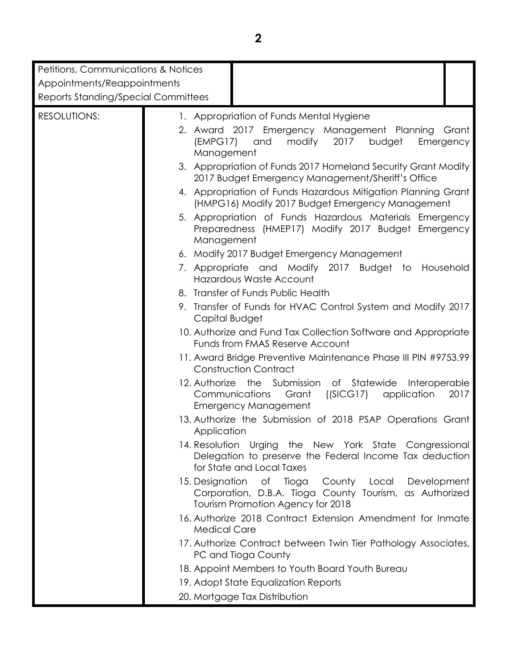| Petitions, Communications & Notices |                                                                                                                                                          |
|-------------------------------------|----------------------------------------------------------------------------------------------------------------------------------------------------------|
| Appointments/Reappointments         |                                                                                                                                                          |
| Reports Standing/Special Committees |                                                                                                                                                          |
|                                     |                                                                                                                                                          |
| <b>RESOLUTIONS:</b>                 | 1. Appropriation of Funds Mental Hygiene                                                                                                                 |
|                                     | 2. Award 2017 Emergency Management Planning<br>Grant                                                                                                     |
|                                     | 2017<br>[EMPG17]<br>and<br>modify<br>budget<br>Emergency<br>Management                                                                                   |
|                                     | 3. Appropriation of Funds 2017 Homeland Security Grant Modify<br>2017 Budget Emergency Management/Sheriff's Office                                       |
|                                     | 4. Appropriation of Funds Hazardous Mitigation Planning Grant<br>(HMPG16) Modify 2017 Budget Emergency Management                                        |
|                                     | 5. Appropriation of Funds Hazardous Materials Emergency<br>Preparedness (HMEP17) Modify 2017 Budget Emergency<br>Management                              |
|                                     | 6. Modify 2017 Budget Emergency Management                                                                                                               |
|                                     | 7. Appropriate and Modify 2017 Budget to Household<br>Hazardous Waste Account                                                                            |
|                                     | 8. Transfer of Funds Public Health                                                                                                                       |
|                                     | 9. Transfer of Funds for HVAC Control System and Modify 2017<br>Capital Budget                                                                           |
|                                     | 10. Authorize and Fund Tax Collection Software and Appropriate<br>Funds from FMAS Reserve Account                                                        |
|                                     | 11. Award Bridge Preventive Maintenance Phase III PIN #9753.99<br><b>Construction Contract</b>                                                           |
|                                     | 12. Authorize<br>the Submission of Statewide<br>Interoperable<br>Communications<br>((SICG17) application<br>Grant<br>2017<br><b>Emergency Management</b> |
|                                     | 13. Authorize the Submission of 2018 PSAP Operations Grant<br>Application                                                                                |
|                                     | 14. Resolution Urging the New York State Congressional<br>Delegation to preserve the Federal Income Tax deduction<br>for State and Local Taxes           |
|                                     | 15. Designation of Tioga<br>County Local Development<br>Corporation, D.B.A. Tioga County Tourism, as Authorized<br>Tourism Promotion Agency for 2018     |
|                                     | 16. Authorize 2018 Contract Extension Amendment for Inmate<br><b>Medical Care</b>                                                                        |
|                                     | 17. Authorize Contract between Twin Tier Pathology Associates,<br>PC and Tioga County                                                                    |
|                                     | 18. Appoint Members to Youth Board Youth Bureau                                                                                                          |
|                                     | 19. Adopt State Equalization Reports                                                                                                                     |
|                                     | 20. Mortgage Tax Distribution                                                                                                                            |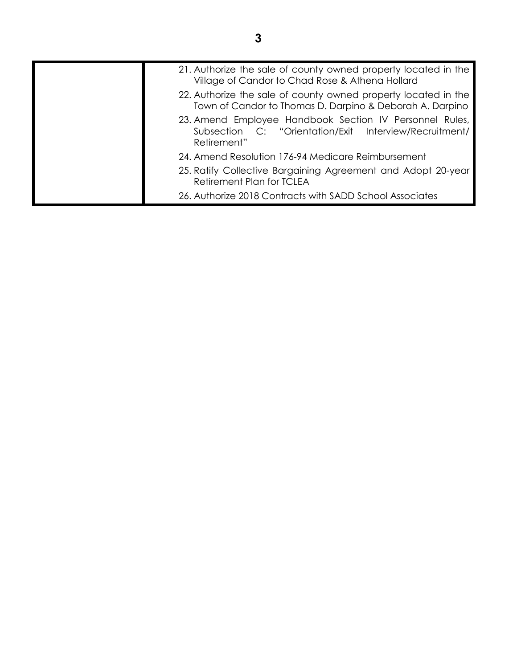| 21. Authorize the sale of county owned property located in the<br>Village of Candor to Chad Rose & Athena Hollard                |
|----------------------------------------------------------------------------------------------------------------------------------|
| 22. Authorize the sale of county owned property located in the<br>Town of Candor to Thomas D. Darpino & Deborah A. Darpino       |
| 23. Amend Employee Handbook Section IV Personnel Rules,<br>Subsection C: "Orientation/Exit Interview/Recruitment/<br>Retirement" |
| 24. Amend Resolution 176-94 Medicare Reimbursement                                                                               |
| 25. Ratify Collective Bargaining Agreement and Adopt 20-year<br>Retirement Plan for TCLEA                                        |
| 26. Authorize 2018 Contracts with SADD School Associates                                                                         |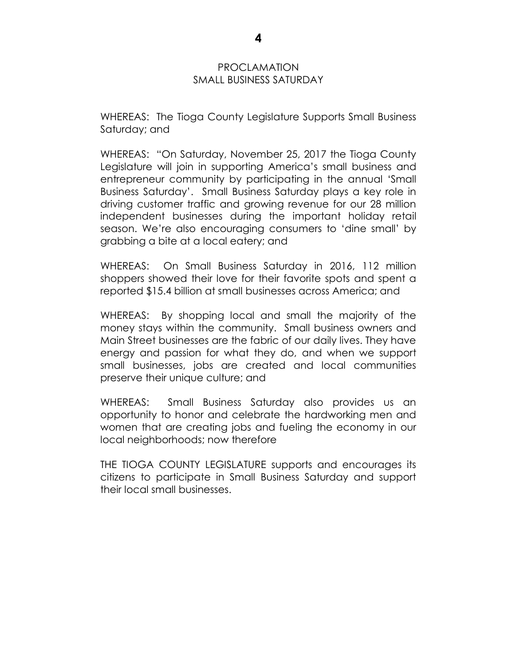#### PROCLAMATION SMALL BUSINESS SATURDAY

WHEREAS: The Tioga County Legislature Supports Small Business Saturday; and

WHEREAS: "On Saturday, November 25, 2017 the Tioga County Legislature will join in supporting America's small business and entrepreneur community by participating in the annual 'Small Business Saturday'. Small Business Saturday plays a key role in driving customer traffic and growing revenue for our 28 million independent businesses during the important holiday retail season. We're also encouraging consumers to 'dine small' by grabbing a bite at a local eatery; and

WHEREAS: On Small Business Saturday in 2016, 112 million shoppers showed their love for their favorite spots and spent a reported \$15.4 billion at small businesses across America; and

WHEREAS: By shopping local and small the majority of the money stays within the community. Small business owners and Main Street businesses are the fabric of our daily lives. They have energy and passion for what they do, and when we support small businesses, jobs are created and local communities preserve their unique culture; and

WHEREAS: Small Business Saturday also provides us an opportunity to honor and celebrate the hardworking men and women that are creating jobs and fueling the economy in our local neighborhoods; now therefore

THE TIOGA COUNTY LEGISLATURE supports and encourages its citizens to participate in Small Business Saturday and support their local small businesses.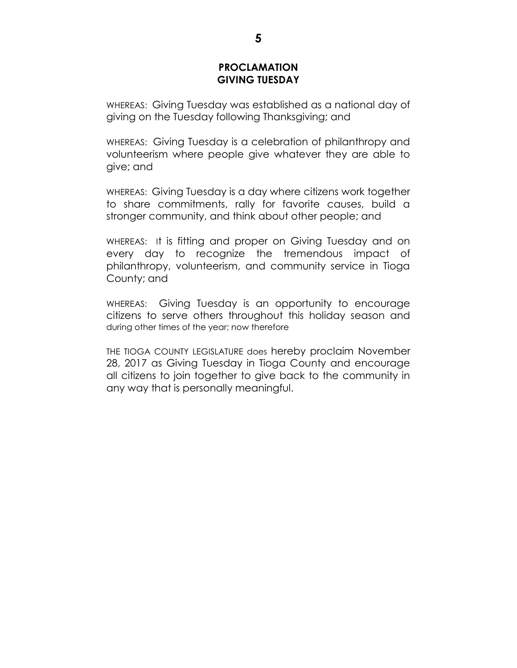#### **PROCLAMATION GIVING TUESDAY**

WHEREAS: Giving Tuesday was established as a national day of giving on the Tuesday following Thanksgiving; and

WHEREAS: Giving Tuesday is a celebration of philanthropy and volunteerism where people give whatever they are able to give; and

WHEREAS: Giving Tuesday is a day where citizens work together to share commitments, rally for favorite causes, build a stronger community, and think about other people; and

WHEREAS: It is fitting and proper on Giving Tuesday and on every day to recognize the tremendous impact of philanthropy, volunteerism, and community service in Tioga County; and

WHEREAS: Giving Tuesday is an opportunity to encourage citizens to serve others throughout this holiday season and during other times of the year; now therefore

THE TIOGA COUNTY LEGISLATURE does hereby proclaim November 28, 2017 as Giving Tuesday in Tioga County and encourage all citizens to join together to give back to the community in any way that is personally meaningful.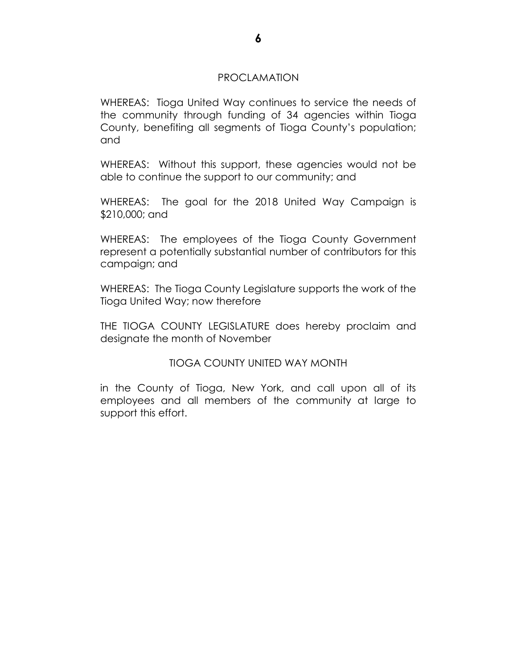#### PROCLAMATION

WHEREAS: Tioga United Way continues to service the needs of the community through funding of 34 agencies within Tioga County, benefiting all segments of Tioga County's population; and

WHEREAS: Without this support, these agencies would not be able to continue the support to our community; and

WHEREAS: The goal for the 2018 United Way Campaign is \$210,000; and

WHEREAS: The employees of the Tioga County Government represent a potentially substantial number of contributors for this campaign; and

WHEREAS: The Tioga County Legislature supports the work of the Tioga United Way; now therefore

THE TIOGA COUNTY LEGISLATURE does hereby proclaim and designate the month of November

TIOGA COUNTY UNITED WAY MONTH

in the County of Tioga, New York, and call upon all of its employees and all members of the community at large to support this effort.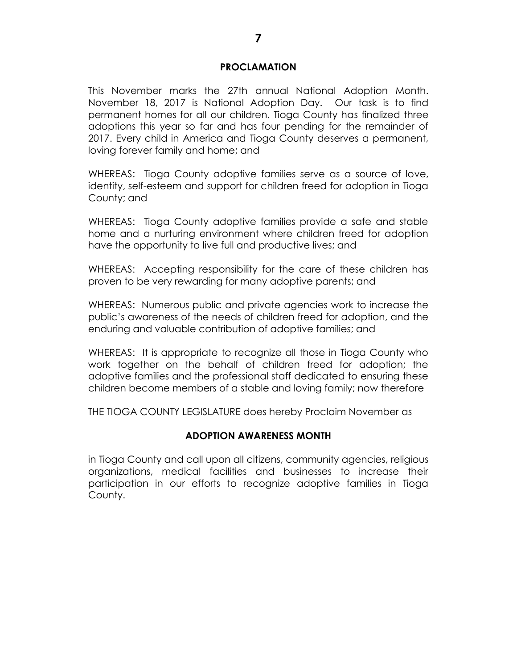#### **PROCLAMATION**

This November marks the 27th annual National Adoption Month. November 18, 2017 is National Adoption Day. Our task is to find permanent homes for all our children. Tioga County has finalized three adoptions this year so far and has four pending for the remainder of 2017. Every child in America and Tioga County deserves a permanent, loving forever family and home; and

WHEREAS: Tioga County adoptive families serve as a source of love, identity, self-esteem and support for children freed for adoption in Tioga County; and

WHEREAS: Tioga County adoptive families provide a safe and stable home and a nurturing environment where children freed for adoption have the opportunity to live full and productive lives; and

WHEREAS: Accepting responsibility for the care of these children has proven to be very rewarding for many adoptive parents; and

WHEREAS: Numerous public and private agencies work to increase the public's awareness of the needs of children freed for adoption, and the enduring and valuable contribution of adoptive families; and

WHEREAS: It is appropriate to recognize all those in Tioga County who work together on the behalf of children freed for adoption; the adoptive families and the professional staff dedicated to ensuring these children become members of a stable and loving family; now therefore

THE TIOGA COUNTY LEGISLATURE does hereby Proclaim November as

#### **ADOPTION AWARENESS MONTH**

in Tioga County and call upon all citizens, community agencies, religious organizations, medical facilities and businesses to increase their participation in our efforts to recognize adoptive families in Tioga County.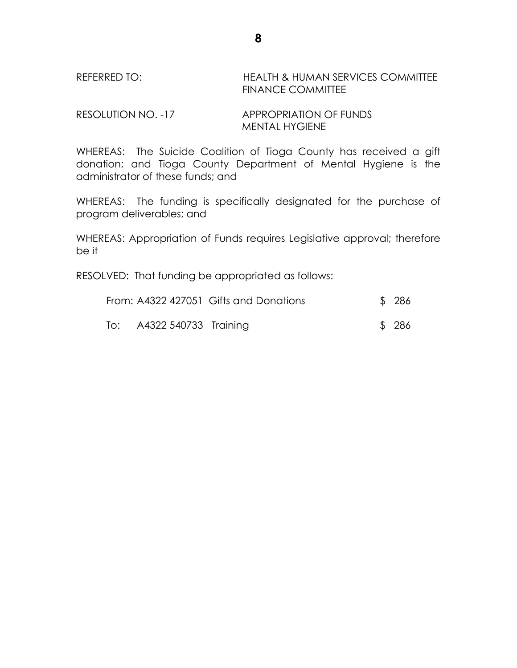# REFERRED TO: HEALTH & HUMAN SERVICES COMMITTEE FINANCE COMMITTEE

RESOLUTION NO. -17 APPROPRIATION OF FUNDS MENTAL HYGIENE

WHEREAS: The Suicide Coalition of Tioga County has received a gift donation; and Tioga County Department of Mental Hygiene is the administrator of these funds; and

WHEREAS: The funding is specifically designated for the purchase of program deliverables; and

WHEREAS: Appropriation of Funds requires Legislative approval; therefore be it

RESOLVED: That funding be appropriated as follows:

|                           | From: A4322 427051 Gifts and Donations | \$ 286 |
|---------------------------|----------------------------------------|--------|
| To: A4322 540733 Training |                                        | \$ 286 |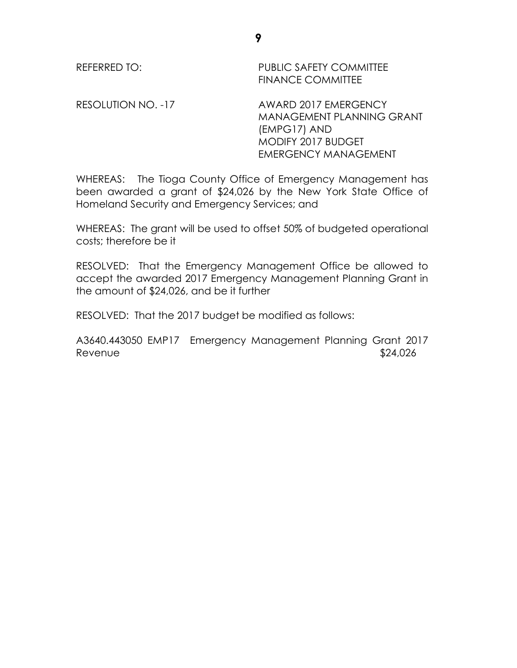RESOLUTION NO. -17 AWARD 2017 EMERGENCY MANAGEMENT PLANNING GRANT (EMPG17) AND MODIFY 2017 BUDGET EMERGENCY MANAGEMENT

WHEREAS: The Tioga County Office of Emergency Management has been awarded a grant of \$24,026 by the New York State Office of Homeland Security and Emergency Services; and

WHEREAS: The grant will be used to offset 50% of budgeted operational costs; therefore be it

RESOLVED: That the Emergency Management Office be allowed to accept the awarded 2017 Emergency Management Planning Grant in the amount of \$24,026, and be it further

RESOLVED: That the 2017 budget be modified as follows:

A3640.443050 EMP17 Emergency Management Planning Grant 2017 Revenue  $$24,026$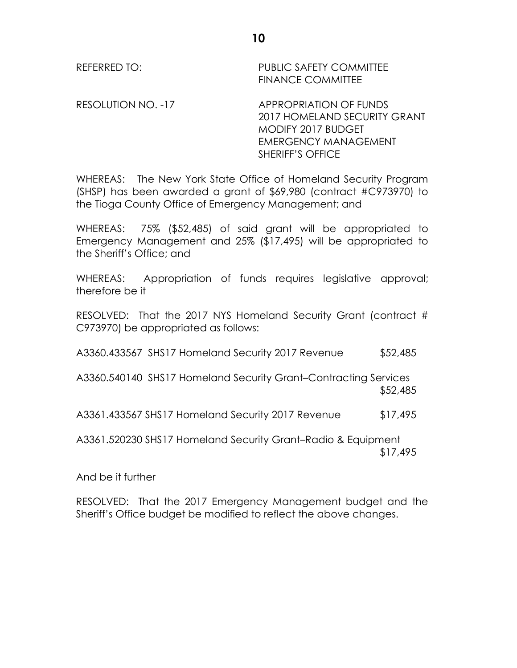RESOLUTION NO. -17 APPROPRIATION OF FUNDS 2017 HOMELAND SECURITY GRANT MODIFY 2017 BUDGET EMERGENCY MANAGEMENT SHERIFF'S OFFICE

WHEREAS: The New York State Office of Homeland Security Program (SHSP) has been awarded a grant of \$69,980 (contract #C973970) to the Tioga County Office of Emergency Management; and

WHEREAS: 75% (\$52,485) of said grant will be appropriated to Emergency Management and 25% (\$17,495) will be appropriated to the Sheriff's Office; and

WHEREAS: Appropriation of funds requires legislative approval; therefore be it

RESOLVED: That the 2017 NYS Homeland Security Grant (contract # C973970) be appropriated as follows:

A3360.433567 SHS17 Homeland Security 2017 Revenue \$52,485

A3360.540140 SHS17 Homeland Security Grant–Contracting Services \$52,485

A3361.433567 SHS17 Homeland Security 2017 Revenue \$17,495

A3361.520230 SHS17 Homeland Security Grant–Radio & Equipment \$17,495

And be it further

RESOLVED: That the 2017 Emergency Management budget and the Sheriff's Office budget be modified to reflect the above changes.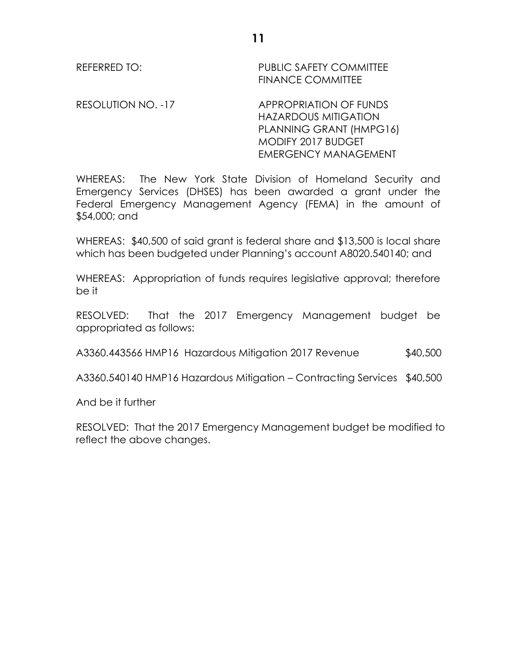RESOLUTION NO. -17 APPROPRIATION OF FUNDS HAZARDOUS MITIGATION PLANNING GRANT (HMPG16) MODIFY 2017 BUDGET EMERGENCY MANAGEMENT

WHEREAS: The New York State Division of Homeland Security and Emergency Services (DHSES) has been awarded a grant under the Federal Emergency Management Agency (FEMA) in the amount of \$54,000; and

WHEREAS: \$40,500 of said grant is federal share and \$13,500 is local share which has been budgeted under Planning's account A8020.540140; and

WHEREAS: Appropriation of funds requires legislative approval; therefore be it

RESOLVED: That the 2017 Emergency Management budget be appropriated as follows:

A3360.443566 HMP16 Hazardous Mitigation 2017 Revenue \$40,500

A3360.540140 HMP16 Hazardous Mitigation – Contracting Services \$40,500

And be it further

RESOLVED: That the 2017 Emergency Management budget be modified to reflect the above changes.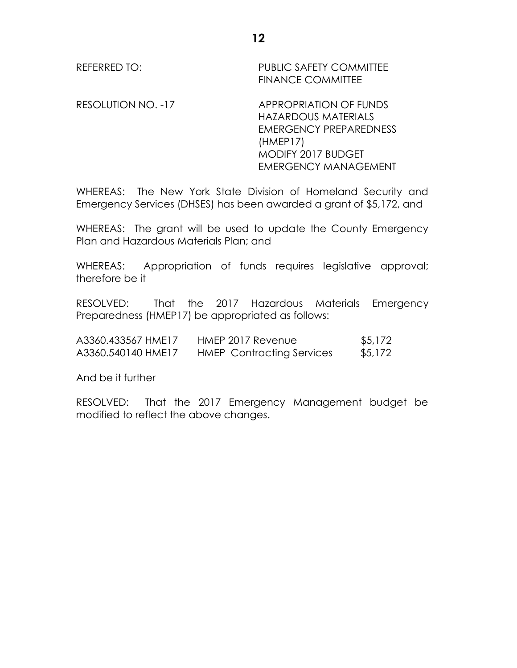RESOLUTION NO. -17 APPROPRIATION OF FUNDS HAZARDOUS MATERIALS EMERGENCY PREPAREDNESS (HMEP17) MODIFY 2017 BUDGET EMERGENCY MANAGEMENT

WHEREAS: The New York State Division of Homeland Security and Emergency Services (DHSES) has been awarded a grant of \$5,172, and

WHEREAS: The grant will be used to update the County Emergency Plan and Hazardous Materials Plan; and

WHEREAS: Appropriation of funds requires legislative approval; therefore be it

RESOLVED: That the 2017 Hazardous Materials Emergency Preparedness (HMEP17) be appropriated as follows:

| A3360.433567 HME17 | HMEP 2017 Revenue                | \$5,172 |
|--------------------|----------------------------------|---------|
| A3360.540140 HME17 | <b>HMEP</b> Contracting Services | \$5,172 |

And be it further

RESOLVED: That the 2017 Emergency Management budget be modified to reflect the above changes.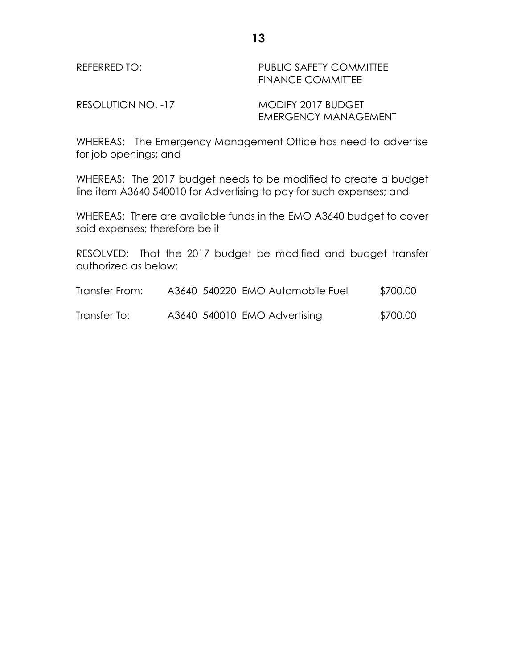RESOLUTION NO. -17 MODIFY 2017 BUDGET

EMERGENCY MANAGEMENT

WHEREAS: The Emergency Management Office has need to advertise for job openings; and

WHEREAS: The 2017 budget needs to be modified to create a budget line item A3640 540010 for Advertising to pay for such expenses; and

WHEREAS: There are available funds in the EMO A3640 budget to cover said expenses; therefore be it

RESOLVED: That the 2017 budget be modified and budget transfer authorized as below:

| Transfer From: |  | A3640 540220 EMO Automobile Fuel | \$700.00 |
|----------------|--|----------------------------------|----------|
| Transfer To:   |  | A3640 540010 EMO Advertising     | \$700.00 |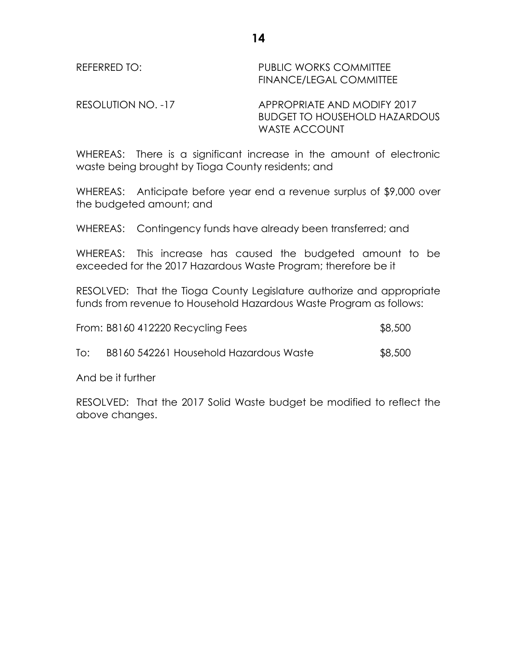REFERRED TO: The PUBLIC WORKS COMMITTEE FINANCE/LEGAL COMMITTEE

RESOLUTION NO. -17 APPROPRIATE AND MODIFY 2017 BUDGET TO HOUSEHOLD HAZARDOUS WASTE ACCOUNT

WHEREAS: There is a significant increase in the amount of electronic waste being brought by Tioga County residents; and

WHEREAS: Anticipate before year end a revenue surplus of \$9,000 over the budgeted amount; and

WHEREAS: Contingency funds have already been transferred; and

WHEREAS: This increase has caused the budgeted amount to be exceeded for the 2017 Hazardous Waste Program; therefore be it

RESOLVED: That the Tioga County Legislature authorize and appropriate funds from revenue to Household Hazardous Waste Program as follows:

|     | From: B8160 412220 Recycling Fees      | \$8,500 |
|-----|----------------------------------------|---------|
| To: | B8160 542261 Household Hazardous Waste | \$8,500 |

And be it further

RESOLVED: That the 2017 Solid Waste budget be modified to reflect the above changes.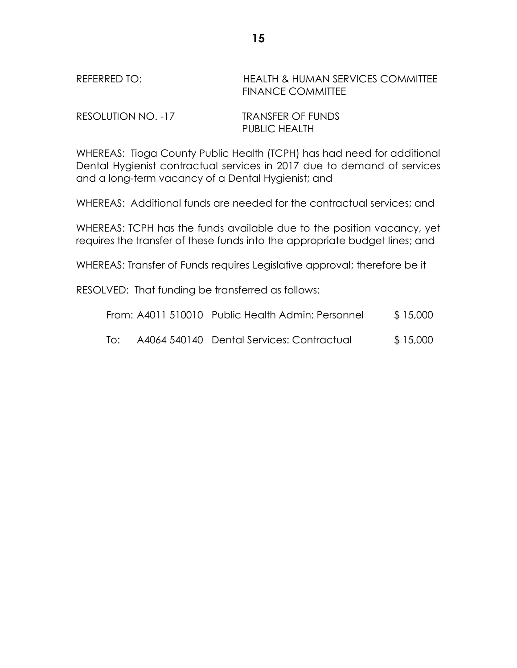# REFERRED TO: HEALTH & HUMAN SERVICES COMMITTEE FINANCE COMMITTEE

| RESOLUTION NO. -17 | <b>TRANSFER OF FUNDS</b> |
|--------------------|--------------------------|
|                    | <b>PUBLIC HEALTH</b>     |

WHEREAS: Tioga County Public Health (TCPH) has had need for additional Dental Hygienist contractual services in 2017 due to demand of services and a long-term vacancy of a Dental Hygienist; and

WHEREAS: Additional funds are needed for the contractual services; and

WHEREAS: TCPH has the funds available due to the position vacancy, yet requires the transfer of these funds into the appropriate budget lines; and

WHEREAS: Transfer of Funds requires Legislative approval; therefore be it

RESOLVED: That funding be transferred as follows:

|     | From: A4011 510010 Public Health Admin: Personnel | \$15,000 |
|-----|---------------------------------------------------|----------|
| To: | A4064 540140 Dental Services: Contractual         | \$15,000 |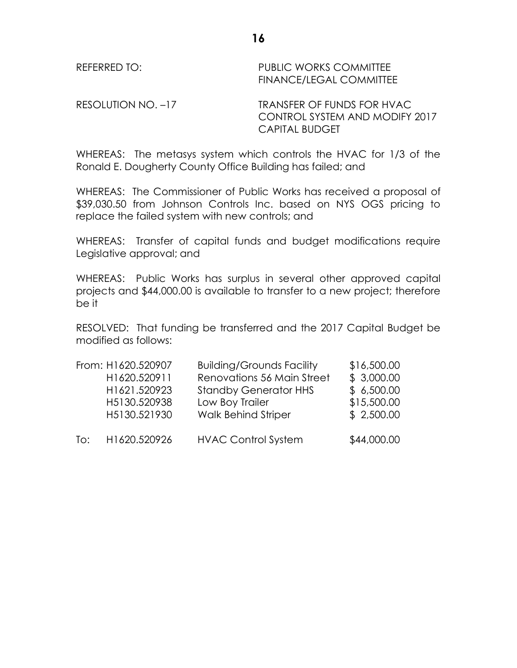REFERRED TO: The PUBLIC WORKS COMMITTEE FINANCE/LEGAL COMMITTEE

RESOLUTION NO. -17 TRANSFER OF FUNDS FOR HVAC CONTROL SYSTEM AND MODIFY 2017 CAPITAL BUDGET

WHEREAS: The metasys system which controls the HVAC for 1/3 of the Ronald E. Dougherty County Office Building has failed; and

WHEREAS: The Commissioner of Public Works has received a proposal of \$39,030.50 from Johnson Controls Inc. based on NYS OGS pricing to replace the failed system with new controls; and

WHEREAS: Transfer of capital funds and budget modifications require Legislative approval; and

WHEREAS: Public Works has surplus in several other approved capital projects and \$44,000.00 is available to transfer to a new project; therefore be it

RESOLVED: That funding be transferred and the 2017 Capital Budget be modified as follows:

|     | From: H1620.520907 | <b>Building/Grounds Facility</b> | \$16,500.00 |
|-----|--------------------|----------------------------------|-------------|
|     | H1620.520911       | Renovations 56 Main Street       | \$3,000.00  |
|     | H1621.520923       | <b>Standby Generator HHS</b>     | \$6,500.00  |
|     | H5130.520938       | Low Boy Trailer                  | \$15,500.00 |
| To: | H5130.521930       | <b>Walk Behind Striper</b>       | \$2,500.00  |
|     | H1620.520926       | <b>HVAC Control System</b>       | \$44,000.00 |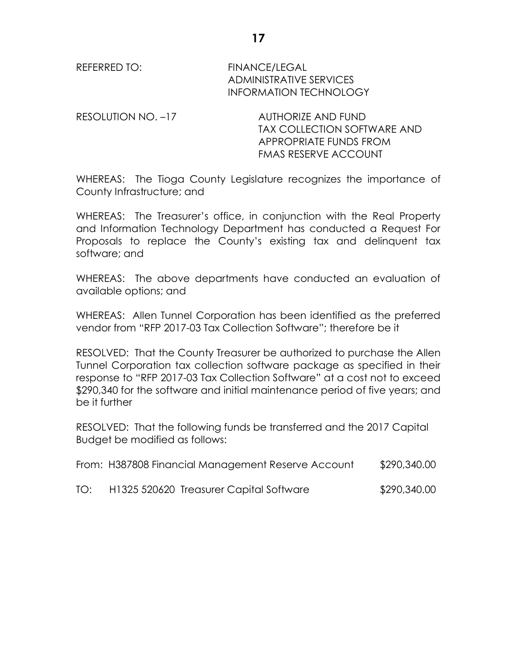REFERRED TO: FINANCE/LEGAL ADMINISTRATIVE SERVICES INFORMATION TECHNOLOGY

RESOLUTION NO. -17 AUTHORIZE AND FUND TAX COLLECTION SOFTWARE AND APPROPRIATE FUNDS FROM FMAS RESERVE ACCOUNT

WHEREAS: The Tioga County Legislature recognizes the importance of County Infrastructure; and

WHEREAS: The Treasurer's office, in conjunction with the Real Property and Information Technology Department has conducted a Request For Proposals to replace the County's existing tax and delinquent tax software; and

WHEREAS: The above departments have conducted an evaluation of available options; and

WHEREAS: Allen Tunnel Corporation has been identified as the preferred vendor from "RFP 2017-03 Tax Collection Software"; therefore be it

RESOLVED: That the County Treasurer be authorized to purchase the Allen Tunnel Corporation tax collection software package as specified in their response to "RFP 2017-03 Tax Collection Software" at a cost not to exceed \$290,340 for the software and initial maintenance period of five years; and be it further

RESOLVED: That the following funds be transferred and the 2017 Capital Budget be modified as follows:

|     | From: H387808 Financial Management Reserve Account | \$290,340.00 |
|-----|----------------------------------------------------|--------------|
| TO: | H1325 520620 Treasurer Capital Software            | \$290,340.00 |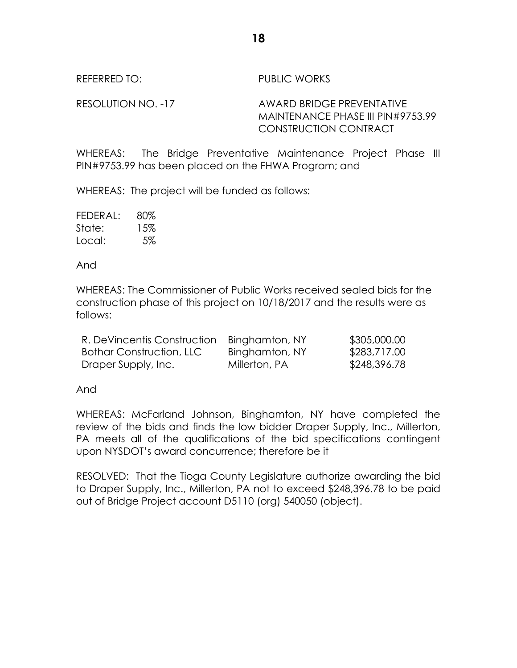REFERRED TO: PUBLIC WORKS

RESOLUTION NO. -17 AWARD BRIDGE PREVENTATIVE MAINTENANCE PHASE III PIN#9753.99 CONSTRUCTION CONTRACT

WHEREAS: The Bridge Preventative Maintenance Project Phase III PIN#9753.99 has been placed on the FHWA Program; and

WHEREAS: The project will be funded as follows:

| FEDERAL: | 80% |
|----------|-----|
| State:   | 15% |
| Local:   | 5%  |

And

WHEREAS: The Commissioner of Public Works received sealed bids for the construction phase of this project on 10/18/2017 and the results were as follows:

| R. DeVincentis Construction Binghamton, NY |                | \$305,000.00 |
|--------------------------------------------|----------------|--------------|
| <b>Bothar Construction, LLC</b>            | Binghamton, NY | \$283,717.00 |
| Draper Supply, Inc.                        | Millerton, PA  | \$248,396.78 |

And

WHEREAS: McFarland Johnson, Binghamton, NY have completed the review of the bids and finds the low bidder Draper Supply, Inc., Millerton, PA meets all of the qualifications of the bid specifications contingent upon NYSDOT's award concurrence; therefore be it

RESOLVED: That the Tioga County Legislature authorize awarding the bid to Draper Supply, Inc., Millerton, PA not to exceed \$248,396.78 to be paid out of Bridge Project account D5110 (org) 540050 (object).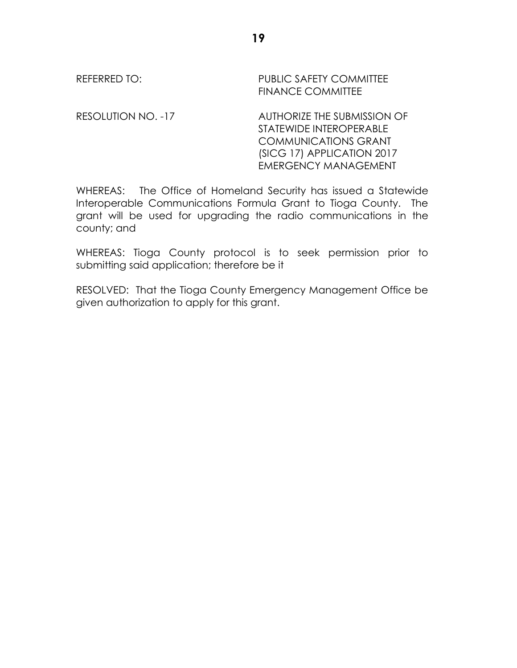RESOLUTION NO. -17 AUTHORIZE THE SUBMISSION OF STATEWIDE INTEROPERABLE COMMUNICATIONS GRANT (SICG 17) APPLICATION 2017 EMERGENCY MANAGEMENT

WHEREAS: The Office of Homeland Security has issued a Statewide Interoperable Communications Formula Grant to Tioga County. The grant will be used for upgrading the radio communications in the county; and

WHEREAS: Tioga County protocol is to seek permission prior to submitting said application; therefore be it

RESOLVED: That the Tioga County Emergency Management Office be given authorization to apply for this grant.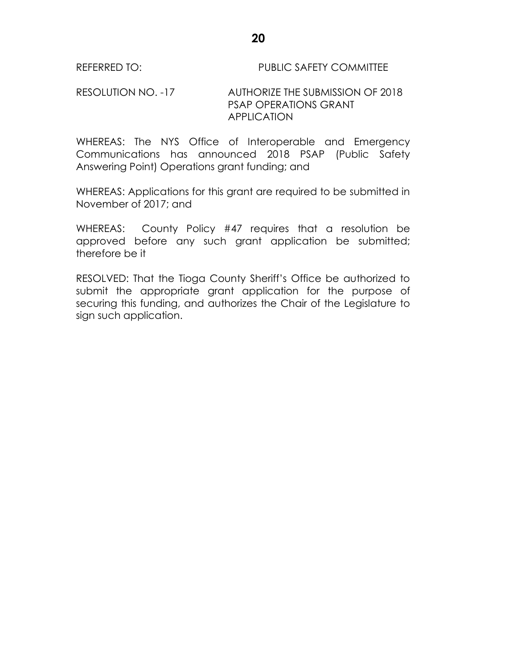#### REFERRED TO: PUBLIC SAFETY COMMITTEE

#### RESOLUTION NO. -17 AUTHORIZE THE SUBMISSION OF 2018 PSAP OPERATIONS GRANT APPLICATION

WHEREAS: The NYS Office of Interoperable and Emergency Communications has announced 2018 PSAP (Public Safety Answering Point) Operations grant funding; and

WHEREAS: Applications for this grant are required to be submitted in November of 2017; and

WHEREAS: County Policy #47 requires that a resolution be approved before any such grant application be submitted; therefore be it

RESOLVED: That the Tioga County Sheriff's Office be authorized to submit the appropriate grant application for the purpose of securing this funding, and authorizes the Chair of the Legislature to sign such application.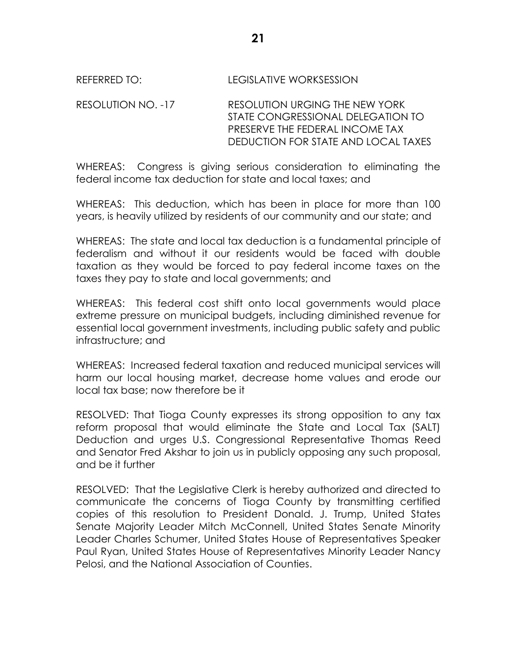# REFERRED TO: LEGISLATIVE WORKSESSION

RESOLUTION NO. -17 RESOLUTION URGING THE NEW YORK STATE CONGRESSIONAL DELEGATION TO PRESERVE THE FEDERAL INCOME TAX DEDUCTION FOR STATE AND LOCAL TAXES

WHEREAS: Congress is giving serious consideration to eliminating the federal income tax deduction for state and local taxes; and

WHEREAS: This deduction, which has been in place for more than 100 years, is heavily utilized by residents of our community and our state; and

WHEREAS: The state and local tax deduction is a fundamental principle of federalism and without it our residents would be faced with double taxation as they would be forced to pay federal income taxes on the taxes they pay to state and local governments; and

WHEREAS: This federal cost shift onto local governments would place extreme pressure on municipal budgets, including diminished revenue for essential local government investments, including public safety and public infrastructure; and

WHEREAS: Increased federal taxation and reduced municipal services will harm our local housing market, decrease home values and erode our local tax base; now therefore be it

RESOLVED: That Tioga County expresses its strong opposition to any tax reform proposal that would eliminate the State and Local Tax (SALT) Deduction and urges U.S. Congressional Representative Thomas Reed and Senator Fred Akshar to join us in publicly opposing any such proposal, and be it further

RESOLVED: That the Legislative Clerk is hereby authorized and directed to communicate the concerns of Tioga County by transmitting certified copies of this resolution to President Donald. J. Trump, United States Senate Majority Leader Mitch McConnell, United States Senate Minority Leader Charles Schumer, United States House of Representatives Speaker Paul Ryan, United States House of Representatives Minority Leader Nancy Pelosi, and the National Association of Counties.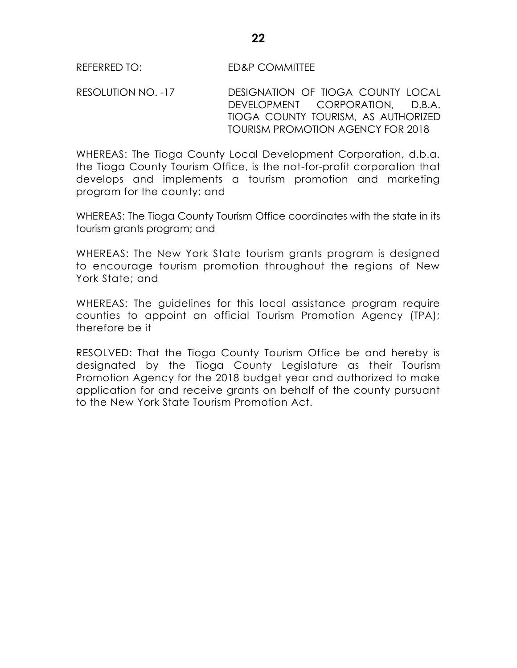RESOLUTION NO. -17 DESIGNATION OF TIOGA COUNTY LOCAL DEVELOPMENT CORPORATION, D.B.A. TIOGA COUNTY TOURISM, AS AUTHORIZED TOURISM PROMOTION AGENCY FOR 2018

WHEREAS: The Tioga County Local Development Corporation, d.b.a. the Tioga County Tourism Office, is the not-for-profit corporation that develops and implements a tourism promotion and marketing program for the county; and

WHEREAS: The Tioga County Tourism Office coordinates with the state in its tourism grants program; and

WHEREAS: The New York State tourism grants program is designed to encourage tourism promotion throughout the regions of New York State; and

WHEREAS: The guidelines for this local assistance program require counties to appoint an official Tourism Promotion Agency (TPA); therefore be it

RESOLVED: That the Tioga County Tourism Office be and hereby is designated by the Tioga County Legislature as their Tourism Promotion Agency for the 2018 budget year and authorized to make application for and receive grants on behalf of the county pursuant to the New York State Tourism Promotion Act.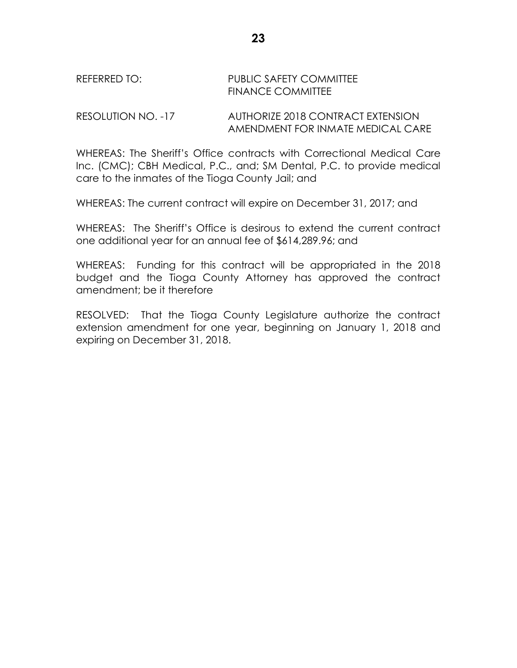#### RESOLUTION NO. -17 AUTHORIZE 2018 CONTRACT EXTENSION AMENDMENT FOR INMATE MEDICAL CARE

WHEREAS: The Sheriff's Office contracts with Correctional Medical Care Inc. (CMC); CBH Medical, P.C., and; SM Dental, P.C. to provide medical care to the inmates of the Tioga County Jail; and

WHEREAS: The current contract will expire on December 31, 2017; and

WHEREAS: The Sheriff's Office is desirous to extend the current contract one additional year for an annual fee of \$614,289.96; and

WHEREAS: Funding for this contract will be appropriated in the 2018 budget and the Tioga County Attorney has approved the contract amendment; be it therefore

RESOLVED: That the Tioga County Legislature authorize the contract extension amendment for one year, beginning on January 1, 2018 and expiring on December 31, 2018.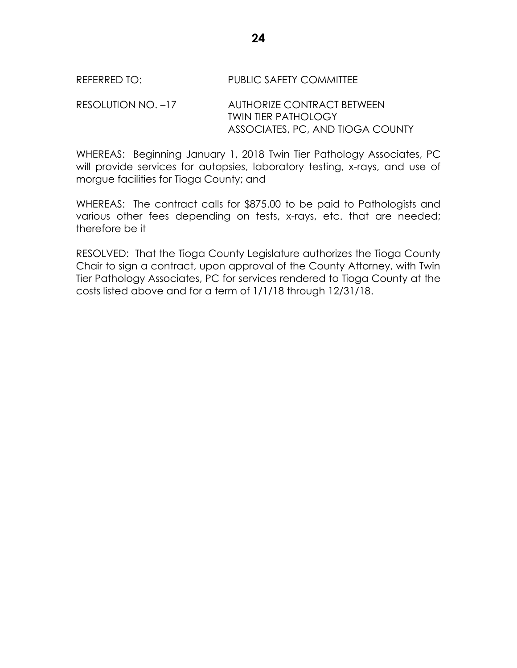## REFERRED TO: PUBLIC SAFETY COMMITTEE

RESOLUTION NO. –17 AUTHORIZE CONTRACT BETWEEN TWIN TIER PATHOLOGY ASSOCIATES, PC, AND TIOGA COUNTY

WHEREAS: Beginning January 1, 2018 Twin Tier Pathology Associates, PC will provide services for autopsies, laboratory testing, x-rays, and use of morgue facilities for Tioga County; and

WHEREAS: The contract calls for \$875.00 to be paid to Pathologists and various other fees depending on tests, x-rays, etc. that are needed; therefore be it

RESOLVED: That the Tioga County Legislature authorizes the Tioga County Chair to sign a contract, upon approval of the County Attorney, with Twin Tier Pathology Associates, PC for services rendered to Tioga County at the costs listed above and for a term of 1/1/18 through 12/31/18.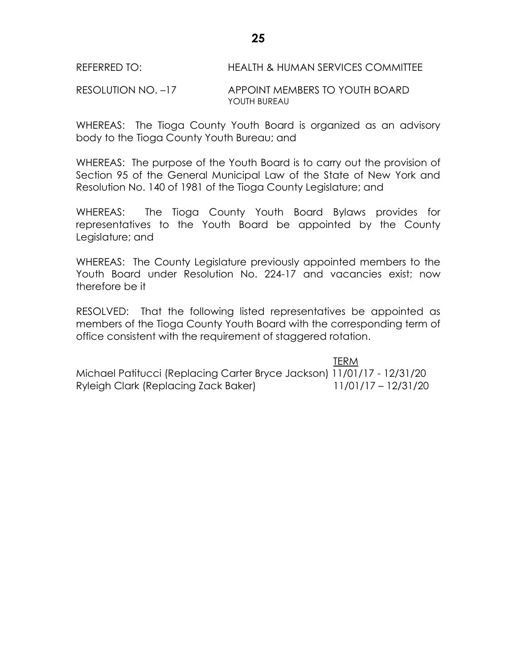RESOLUTION NO. –17 APPOINT MEMBERS TO YOUTH BOARD YOUTH BUREAU

WHEREAS: The Tioga County Youth Board is organized as an advisory body to the Tioga County Youth Bureau; and

WHEREAS: The purpose of the Youth Board is to carry out the provision of Section 95 of the General Municipal Law of the State of New York and Resolution No. 140 of 1981 of the Tioga County Legislature; and

WHEREAS: The Tioga County Youth Board Bylaws provides for representatives to the Youth Board be appointed by the County Legislature; and

WHEREAS: The County Legislature previously appointed members to the Youth Board under Resolution No. 224-17 and vacancies exist; now therefore be it

RESOLVED: That the following listed representatives be appointed as members of the Tioga County Youth Board with the corresponding term of office consistent with the requirement of staggered rotation.

 TERM Michael Patitucci (Replacing Carter Bryce Jackson) 11/01/17 - 12/31/20 Ryleigh Clark (Replacing Zack Baker) 11/01/17 – 12/31/20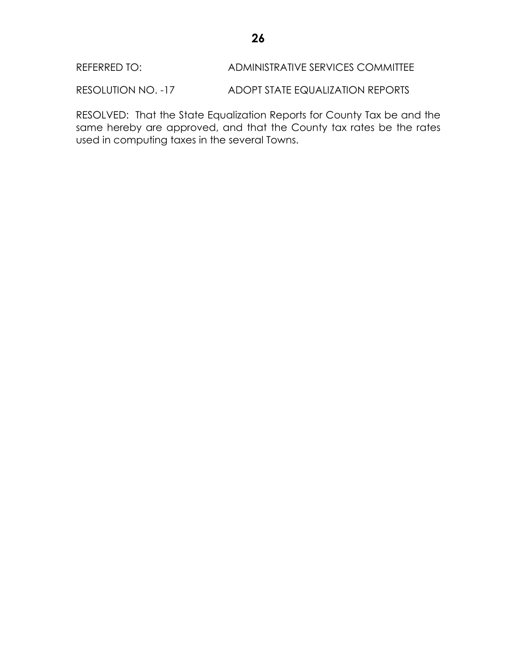REFERRED TO: ADMINISTRATIVE SERVICES COMMITTEE

RESOLUTION NO. -17 ADOPT STATE EQUALIZATION REPORTS

RESOLVED: That the State Equalization Reports for County Tax be and the same hereby are approved, and that the County tax rates be the rates used in computing taxes in the several Towns.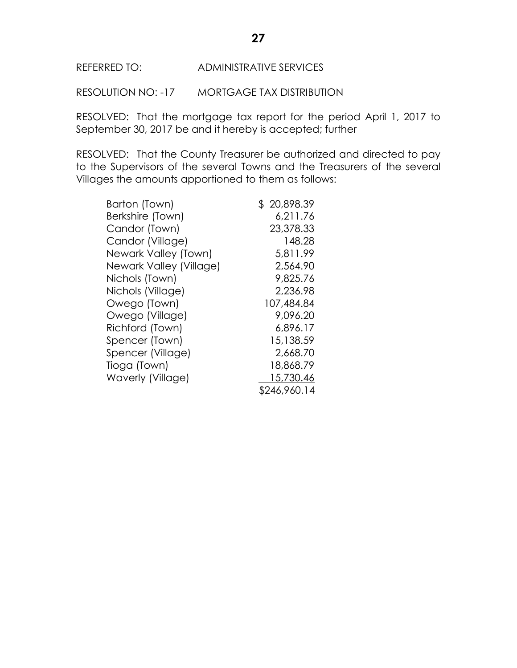RESOLUTION NO: -17 MORTGAGE TAX DISTRIBUTION

RESOLVED: That the mortgage tax report for the period April 1, 2017 to September 30, 2017 be and it hereby is accepted; further

RESOLVED: That the County Treasurer be authorized and directed to pay to the Supervisors of the several Towns and the Treasurers of the several Villages the amounts apportioned to them as follows:

| Barton (Town)           | \$20,898.39  |
|-------------------------|--------------|
| Berkshire (Town)        | 6,211.76     |
| Candor (Town)           | 23,378.33    |
| Candor (Village)        | 148.28       |
| Newark Valley (Town)    | 5,811.99     |
| Newark Valley (Village) | 2,564.90     |
| Nichols (Town)          | 9,825.76     |
| Nichols (Village)       | 2,236.98     |
| Owego (Town)            | 107,484.84   |
| Owego (Village)         | 9,096.20     |
| Richford (Town)         | 6,896.17     |
| Spencer (Town)          | 15,138.59    |
| Spencer (Village)       | 2,668.70     |
| Tioga (Town)            | 18,868.79    |
| Waverly (Village)       | 15,730.46    |
|                         | \$246,960.14 |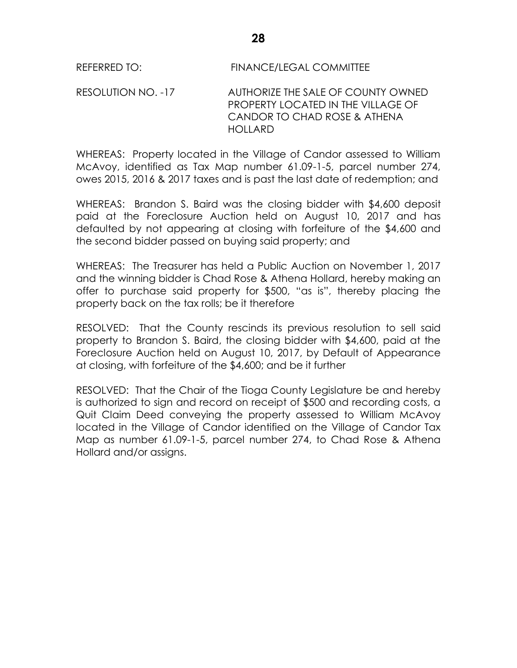RESOLUTION NO. -17 AUTHORIZE THE SALE OF COUNTY OWNED PROPERTY LOCATED IN THE VILLAGE OF CANDOR TO CHAD ROSE & ATHENA HOLLARD

WHEREAS: Property located in the Village of Candor assessed to William McAvoy, identified as Tax Map number 61.09-1-5, parcel number 274, owes 2015, 2016 & 2017 taxes and is past the last date of redemption; and

WHEREAS: Brandon S. Baird was the closing bidder with \$4,600 deposit paid at the Foreclosure Auction held on August 10, 2017 and has defaulted by not appearing at closing with forfeiture of the \$4,600 and the second bidder passed on buying said property; and

WHEREAS: The Treasurer has held a Public Auction on November 1, 2017 and the winning bidder is Chad Rose & Athena Hollard, hereby making an offer to purchase said property for \$500, "as is", thereby placing the property back on the tax rolls; be it therefore

RESOLVED: That the County rescinds its previous resolution to sell said property to Brandon S. Baird, the closing bidder with \$4,600, paid at the Foreclosure Auction held on August 10, 2017, by Default of Appearance at closing, with forfeiture of the \$4,600; and be it further

RESOLVED: That the Chair of the Tioga County Legislature be and hereby is authorized to sign and record on receipt of \$500 and recording costs, a Quit Claim Deed conveying the property assessed to William McAvoy located in the Village of Candor identified on the Village of Candor Tax Map as number 61.09-1-5, parcel number 274, to Chad Rose & Athena Hollard and/or assigns.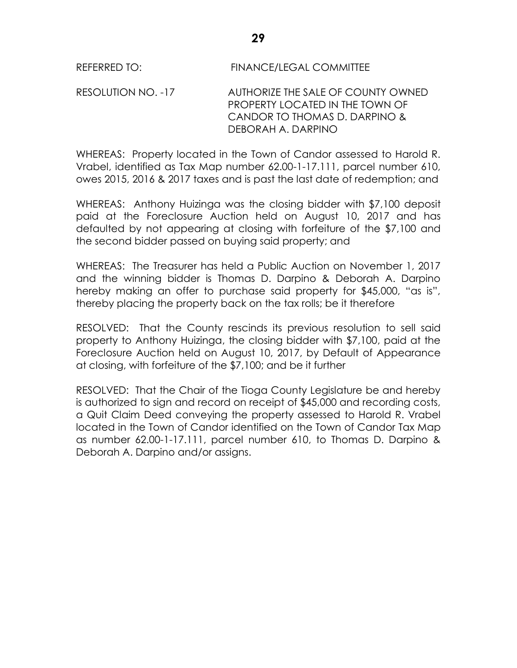RESOLUTION NO. -17 AUTHORIZE THE SALE OF COUNTY OWNED PROPERTY LOCATED IN THE TOWN OF CANDOR TO THOMAS D. DARPINO & DEBORAH A. DARPINO

WHEREAS: Property located in the Town of Candor assessed to Harold R. Vrabel, identified as Tax Map number 62.00-1-17.111, parcel number 610, owes 2015, 2016 & 2017 taxes and is past the last date of redemption; and

WHEREAS: Anthony Huizinga was the closing bidder with \$7,100 deposit paid at the Foreclosure Auction held on August 10, 2017 and has defaulted by not appearing at closing with forfeiture of the \$7,100 and the second bidder passed on buying said property; and

WHEREAS: The Treasurer has held a Public Auction on November 1, 2017 and the winning bidder is Thomas D. Darpino & Deborah A. Darpino hereby making an offer to purchase said property for \$45,000, "as is", thereby placing the property back on the tax rolls; be it therefore

RESOLVED: That the County rescinds its previous resolution to sell said property to Anthony Huizinga, the closing bidder with \$7,100, paid at the Foreclosure Auction held on August 10, 2017, by Default of Appearance at closing, with forfeiture of the \$7,100; and be it further

RESOLVED: That the Chair of the Tioga County Legislature be and hereby is authorized to sign and record on receipt of \$45,000 and recording costs, a Quit Claim Deed conveying the property assessed to Harold R. Vrabel located in the Town of Candor identified on the Town of Candor Tax Map as number 62.00-1-17.111, parcel number 610, to Thomas D. Darpino & Deborah A. Darpino and/or assigns.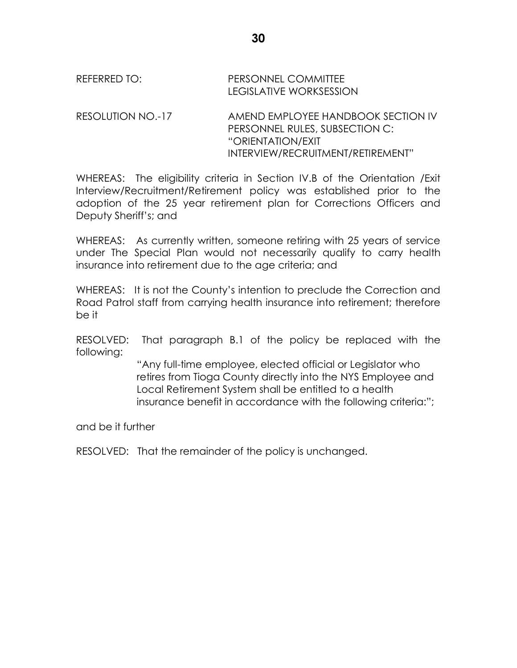RESOLUTION NO.-17 AMEND EMPLOYEE HANDBOOK SECTION IV PERSONNEL RULES, SUBSECTION C: "ORIENTATION/EXIT INTERVIEW/RECRUITMENT/RETIREMENT"

WHEREAS: The eligibility criteria in Section IV.B of the Orientation /Exit Interview/Recruitment/Retirement policy was established prior to the adoption of the 25 year retirement plan for Corrections Officers and Deputy Sheriff's; and

WHEREAS: As currently written, someone retiring with 25 years of service under The Special Plan would not necessarily qualify to carry health insurance into retirement due to the age criteria; and

WHEREAS: It is not the County's intention to preclude the Correction and Road Patrol staff from carrying health insurance into retirement; therefore be it

RESOLVED: That paragraph B.1 of the policy be replaced with the following:

> "Any full-time employee, elected official or Legislator who retires from Tioga County directly into the NYS Employee and Local Retirement System shall be entitled to a health insurance benefit in accordance with the following criteria:";

and be it further

RESOLVED: That the remainder of the policy is unchanged.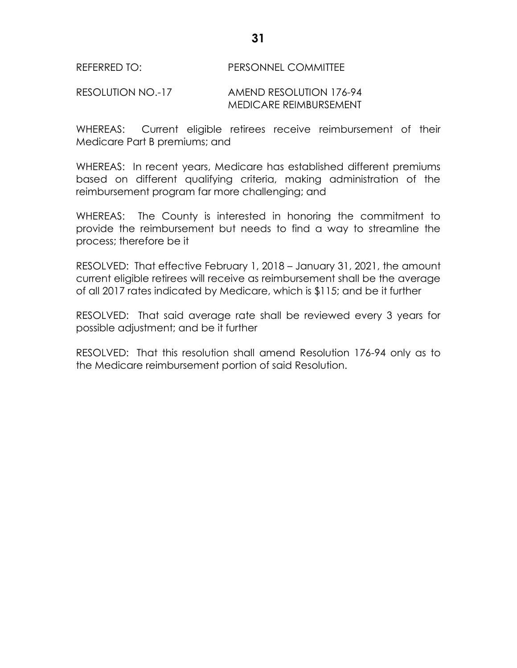## REFERRED TO: PERSONNEL COMMITTEE

#### RESOLUTION NO.-17 AMEND RESOLUTION 176-94 MEDICARE REIMBURSEMENT

WHEREAS: Current eligible retirees receive reimbursement of their Medicare Part B premiums; and

WHEREAS: In recent years, Medicare has established different premiums based on different qualifying criteria, making administration of the reimbursement program far more challenging; and

WHEREAS: The County is interested in honoring the commitment to provide the reimbursement but needs to find a way to streamline the process; therefore be it

RESOLVED: That effective February 1, 2018 – January 31, 2021, the amount current eligible retirees will receive as reimbursement shall be the average of all 2017 rates indicated by Medicare, which is \$115; and be it further

RESOLVED: That said average rate shall be reviewed every 3 years for possible adjustment; and be it further

RESOLVED: That this resolution shall amend Resolution 176-94 only as to the Medicare reimbursement portion of said Resolution.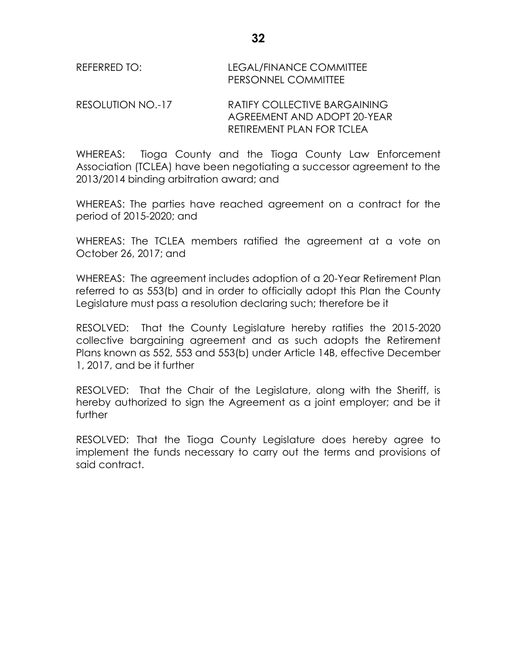| REFERRED TO: | LEGAL/FINANCE COMMITTEE    |
|--------------|----------------------------|
|              | <b>PERSONNEL COMMITTEE</b> |

#### RESOLUTION NO.-17 RATIFY COLLECTIVE BARGAINING AGREEMENT AND ADOPT 20-YEAR RETIREMENT PLAN FOR TCLEA

WHEREAS: Tioga County and the Tioga County Law Enforcement Association (TCLEA) have been negotiating a successor agreement to the 2013/2014 binding arbitration award; and

WHEREAS: The parties have reached agreement on a contract for the period of 2015-2020; and

WHEREAS: The TCLEA members ratified the agreement at a vote on October 26, 2017; and

WHEREAS: The agreement includes adoption of a 20-Year Retirement Plan referred to as 553(b) and in order to officially adopt this Plan the County Legislature must pass a resolution declaring such; therefore be it

RESOLVED: That the County Legislature hereby ratifies the 2015-2020 collective bargaining agreement and as such adopts the Retirement Plans known as 552, 553 and 553(b) under Article 14B, effective December 1, 2017, and be it further

RESOLVED: That the Chair of the Legislature, along with the Sheriff, is hereby authorized to sign the Agreement as a joint employer; and be it further

RESOLVED: That the Tioga County Legislature does hereby agree to implement the funds necessary to carry out the terms and provisions of said contract.